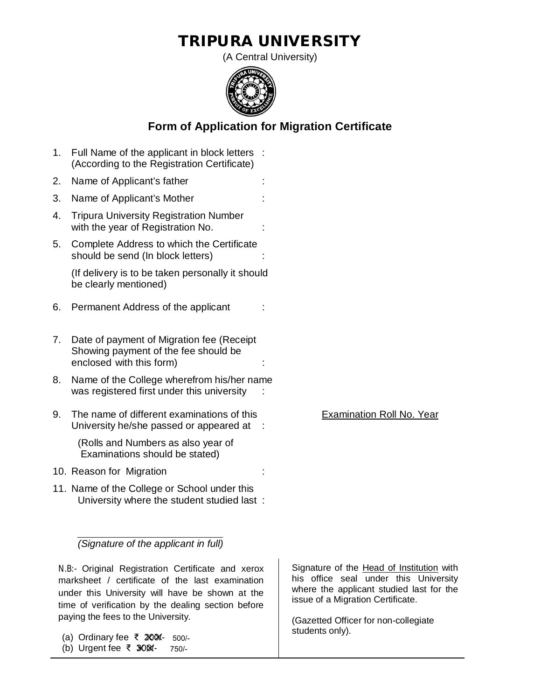## **TRIPURA UNIVERSITY**

(A Central University)



## **Form of Application for Migration Certificate**

1. Full Name of the applicant in block letters : (According to the Registration Certificate) 2. Name of Applicant's father 3. Name of Applicant's Mother : 4. Tripura University Registration Number with the year of Registration No. 5. Complete Address to which the Certificate should be send (In block letters) : (If delivery is to be taken personally it should be clearly mentioned) 6. Permanent Address of the applicant 7. Date of payment of Migration fee (Receipt Showing payment of the fee should be enclosed with this form) 8. Name of the College wherefrom his/her name was registered first under this university 9. The name of different examinations of this Examination Roll No. Year University he/she passed or appeared at : (Rolls and Numbers as also year of Examinations should be stated) 10. Reason for Migration 11. Name of the College or School under this University where the student studied last :

*(Signature of the applicant in full)* 

 N.B:- Original Registration Certificate and xerox marksheet / certificate of the last examination under this University will have be shown at the time of verification by the dealing section before paying the fees to the University.

(a) Ordinary fee ₹ 200/- 500/-

(b) Urgent fee ₹ 300/- 750/- Signature of the Head of Institution with his office seal under this University where the applicant studied last for the issue of a Migration Certificate.

(Gazetted Officer for non-collegiate students only).